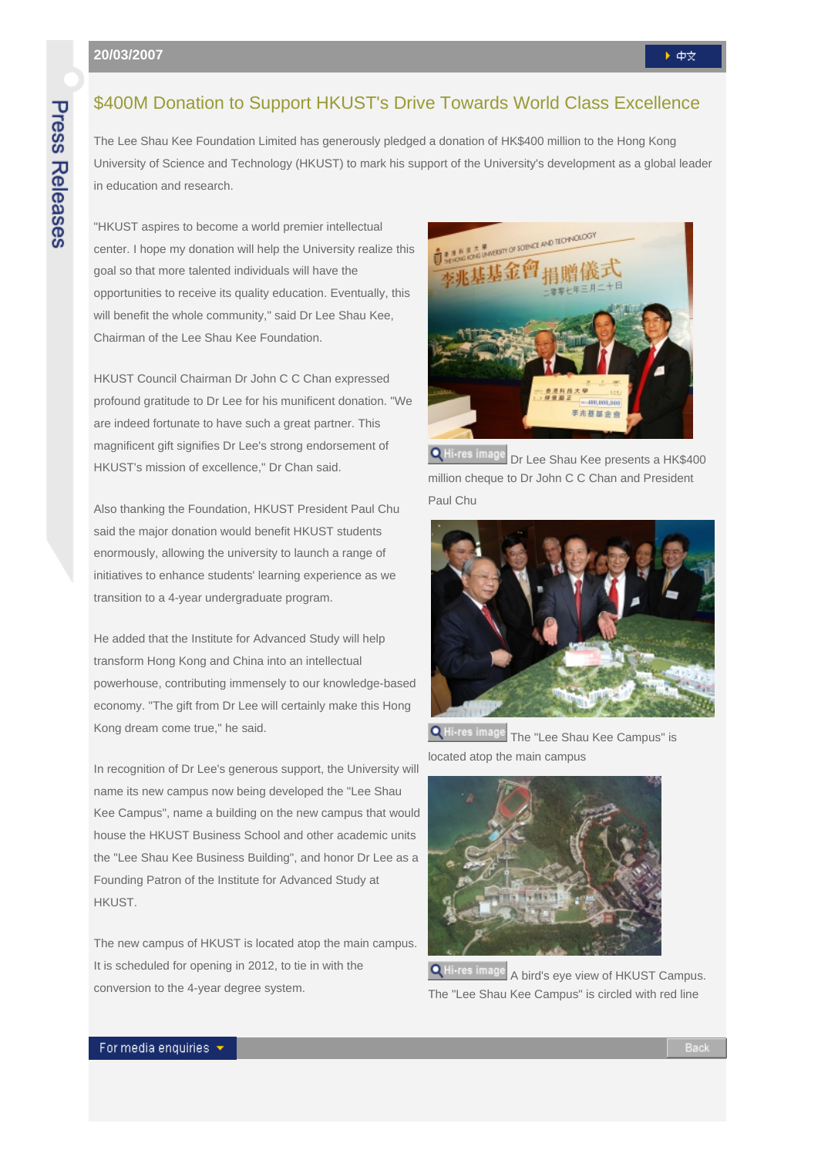## \$400M Donation to Support HKUST's Drive Towards World Class Excellence

The Lee Shau Kee Foundation Limited has generously pledged a donation of HK\$400 million to the Hong Kong University of Science and Technology (HKUST) to mark his support of the University's development as a global leader in education and research.

"HKUST aspires to become a world premier intellectual center. I hope my donation will help the University realize this goal so that more talented individuals will have the opportunities to receive its quality education. Eventually, this will benefit the whole community," said Dr Lee Shau Kee, Chairman of the Lee Shau Kee Foundation.

HKUST Council Chairman Dr John C C Chan expressed profound gratitude to Dr Lee for his munificent donation. "We are indeed fortunate to have such a great partner. This magnificent gift signifies Dr Lee's strong endorsement of HKUST's mission of excellence," Dr Chan said.

Also thanking the Foundation, HKUST President Paul Chu said the major donation would benefit HKUST students enormously, allowing the university to launch a range of initiatives to enhance students' learning experience as we transition to a 4-year undergraduate program.

He added that the Institute for Advanced Study will help transform Hong Kong and China into an intellectual powerhouse, contributing immensely to our knowledge-based economy. "The gift from Dr Lee will certainly make this Hong Kong dream come true," he said.

In recognition of Dr Lee's generous support, the University will name its new campus now being developed the "Lee Shau Kee Campus", name a building on the new campus that would house the HKUST Business School and other academic units the "Lee Shau Kee Business Building", and honor Dr Lee as a Founding Patron of the Institute for Advanced Study at HKUST.

The new campus of HKUST is located atop the main campus. It is scheduled for opening in 2012, to tie in with the conversion to the 4-year degree system.



Q Hi-res image Dr Lee Shau Kee presents a HK\$400 million cheque to Dr John C C Chan and President Paul Chu



**Q** Hi-res image The "Lee Shau Kee Campus" is located atop the main campus



 A bird's eye view of HKUST Campus. The "Lee Shau Kee Campus" is circled with red line